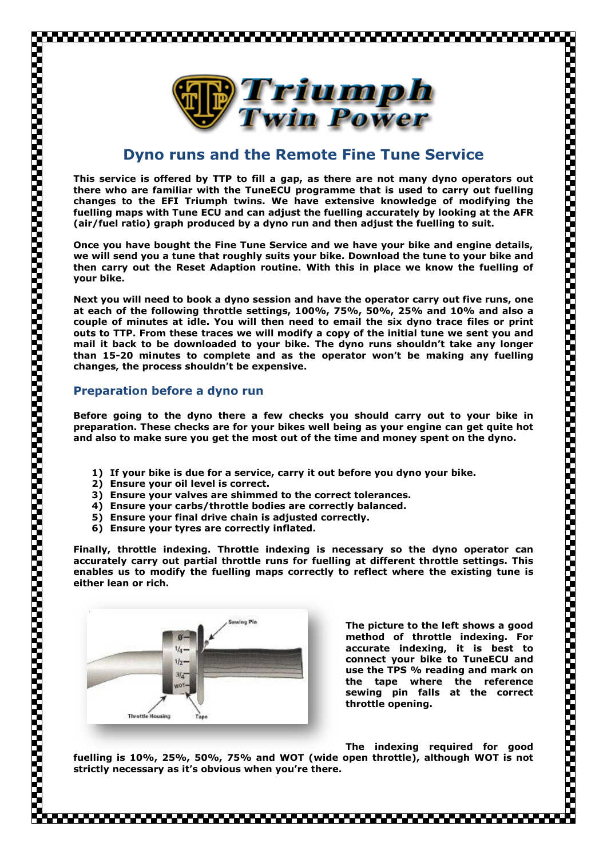

## **Dyno runs and the Remote Fine Tune Service**

**This service is offered by TTP to fill a gap, as there are not many dyno operators out there who are familiar with the TuneECU programme that is used to carry out fuelling changes to the EFI Triumph twins. We have extensive knowledge of modifying the fuelling maps with Tune ECU and can adjust the fuelling accurately by looking at the AFR (air/fuel ratio) graph produced by a dyno run and then adjust the fuelling to suit.**

**Once you have bought the Fine Tune Service and we have your bike and engine details, we will send you a tune that roughly suits your bike. Download the tune to your bike and then carry out the Reset Adaption routine. With this in place we know the fuelling of your bike.**

**Next you will need to book a dyno session and have the operator carry out five runs, one at each of the following throttle settings, 100%, 75%, 50%, 25% and 10% and also a couple of minutes at idle. You will then need to email the six dyno trace files or print outs to TTP. From these traces we will modify a copy of the initial tune we sent you and mail it back to be downloaded to your bike. The dyno runs shouldn't take any longer than 15-20 minutes to complete and as the operator won't be making any fuelling changes, the process shouldn't be expensive.**

## **Preparation before a dyno run**

,,,,,,,,,,,,,,,,,,,,,,,,,

**Before going to the dyno there a few checks you should carry out to your bike in preparation. These checks are for your bikes well being as your engine can get quite hot and also to make sure you get the most out of the time and money spent on the dyno.**

- **1) If your bike is due for a service, carry it out before you dyno your bike.**
- **2) Ensure your oil level is correct.**
- **3) Ensure your valves are shimmed to the correct tolerances.**
- **4) Ensure your carbs/throttle bodies are correctly balanced.**
- **5) Ensure your final drive chain is adjusted correctly.**
- **6) Ensure your tyres are correctly inflated.**

**Finally, throttle indexing. Throttle indexing is necessary so the dyno operator can accurately carry out partial throttle runs for fuelling at different throttle settings. This enables us to modify the fuelling maps correctly to reflect where the existing tune is either lean or rich.**



**The picture to the left shows a good method of throttle indexing. For accurate indexing, it is best to connect your bike to TuneECU and use the TPS % reading and mark on the tape where the reference sewing pin falls at the correct throttle opening.**

**The indexing required for good** 

**fuelling is 10%, 25%, 50%, 75% and WOT (wide open throttle), although WOT is not strictly necessary as it's obvious when you're there.**